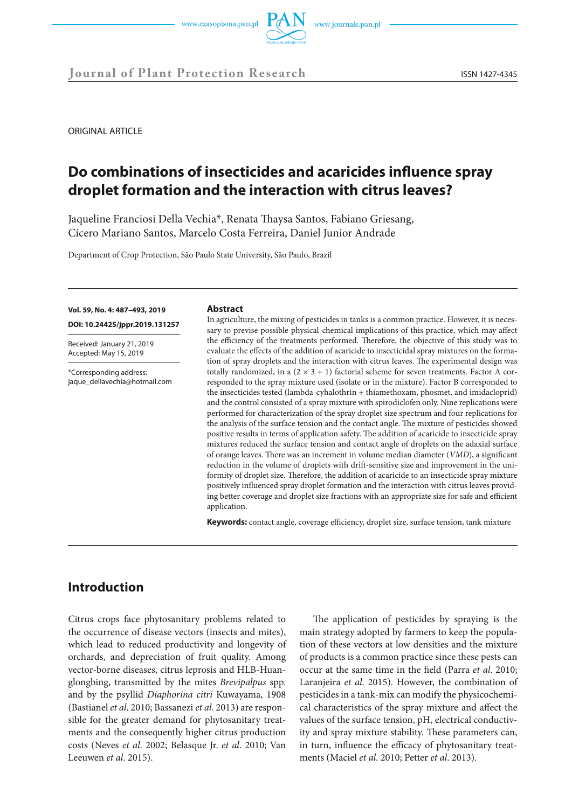



**Journal of Plant Protection Research** ISSN 1427-4345

ORIGINAL ARTICLE

# **Do combinations of insecticides and acaricides influence spray droplet formation and the interaction with citrus leaves?**

Jaqueline Franciosi Della Vechia\*, Renata Thaysa Santos, Fabiano Griesang, Cícero Mariano Santos, Marcelo Costa Ferreira, Daniel Junior Andrade

Department of Crop Protection, São Paulo State University, São Paulo, Brazil

#### **Vol. 59, No. 4: 487–493, 2019**

**DOI: 10.24425/jppr.2019.131257**

Received: January 21, 2019 Accepted: May 15, 2019

\*Corresponding address: jaque\_dellavechia@hotmail.com

#### **Abstract**

In agriculture, the mixing of pesticides in tanks is a common practice. However, it is necessary to previse possible physical-chemical implications of this practice, which may affect the efficiency of the treatments performed. Therefore, the objective of this study was to evaluate the effects of the addition of acaricide to insecticidal spray mixtures on the formation of spray droplets and the interaction with citrus leaves. The experimental design was totally randomized, in a  $(2 \times 3 + 1)$  factorial scheme for seven treatments. Factor A corresponded to the spray mixture used (isolate or in the mixture). Factor B corresponded to the insecticides tested (lambda-cyhalothrin + thiamethoxam, phosmet, and imidacloprid) and the control consisted of a spray mixture with spirodiclofen only. Nine replications were performed for characterization of the spray droplet size spectrum and four replications for the analysis of the surface tension and the contact angle. The mixture of pesticides showed positive results in terms of application safety. The addition of acaricide to insecticide spray mixtures reduced the surface tension and contact angle of droplets on the adaxial surface of orange leaves. There was an increment in volume median diameter (*VMD*), a significant reduction in the volume of droplets with drift-sensitive size and improvement in the uniformity of droplet size. Therefore, the addition of acaricide to an insecticide spray mixture positively influenced spray droplet formation and the interaction with citrus leaves providing better coverage and droplet size fractions with an appropriate size for safe and efficient application.

**Keywords:** contact angle, coverage efficiency, droplet size, surface tension, tank mixture

# **Introduction**

Citrus crops face phytosanitary problems related to the occurrence of disease vectors (insects and mites), which lead to reduced productivity and longevity of orchards, and depreciation of fruit quality. Among vector-borne diseases, citrus leprosis and HLB-Huanglongbing, transmitted by the mites *Brevipalpus* spp. and by the psyllid *Diaphorina citri* Kuwayama, 1908 (Bastianel *et al*. 2010; Bassanezi *et al*. 2013) are responsible for the greater demand for phytosanitary treatments and the consequently higher citrus production costs (Neves *et al*. 2002; Belasque Jr. *et al*. 2010; Van Leeuwen *et al*. 2015).

The application of pesticides by spraying is the main strategy adopted by farmers to keep the population of these vectors at low densities and the mixture of products is a common practice since these pests can occur at the same time in the field (Parra *et al*. 2010; Laranjeira *et al*. 2015). However, the combination of pesticides in a tank-mix can modify the physicochemical characteristics of the spray mixture and affect the values of the surface tension, pH, electrical conductivity and spray mixture stability. These parameters can, in turn, influence the efficacy of phytosanitary treatments (Maciel *et al*. 2010; Petter *et al*. 2013).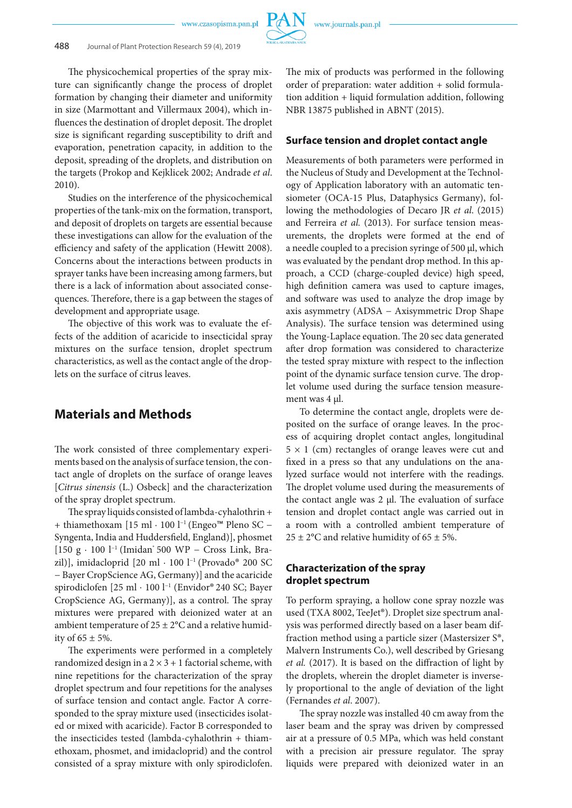www.czasopisma.pan.pl



The physicochemical properties of the spray mixture can significantly change the process of droplet formation by changing their diameter and uniformity in size (Marmottant and Villermaux 2004), which influences the destination of droplet deposit. The droplet size is significant regarding susceptibility to drift and evaporation, penetration capacity, in addition to the deposit, spreading of the droplets, and distribution on the targets (Prokop and Kejklicek 2002; Andrade *et al*. 2010).

Studies on the interference of the physicochemical properties of the tank-mix on the formation, transport, and deposit of droplets on targets are essential because these investigations can allow for the evaluation of the efficiency and safety of the application (Hewitt 2008). Concerns about the interactions between products in sprayer tanks have been increasing among farmers, but there is a lack of information about associated consequences. Therefore, there is a gap between the stages of development and appropriate usage.

The objective of this work was to evaluate the effects of the addition of acaricide to insecticidal spray mixtures on the surface tension, droplet spectrum characteristics, as well as the contact angle of the droplets on the surface of citrus leaves.

# **Materials and Methods**

The work consisted of three complementary experiments based on the analysis of surface tension, the contact angle of droplets on the surface of orange leaves [*Citrus sinensis* (L.) Osbeck] and the characterization of the spray droplet spectrum.

The spray liquids consisted of lambda-cyhalothrin + + thiamethoxam [15 ml · 100 l−1 (Engeo™ Pleno SC − Syngenta, India and Huddersfield, England)], phosmet [150 g · 100 l<sup>-1</sup> (Imidan<sup>®</sup> 500 WP − Cross Link, Brazil)], imidacloprid [20 ml · 100 l−1 (Provado® 200 SC − Bayer CropScience AG, Germany)] and the acaricide spirodiclofen [25 ml ⋅ 100 l−1 (Envidor® 240 SC; Bayer CropScience AG, Germany)], as a control. The spray mixtures were prepared with deionized water at an ambient temperature of  $25 \pm 2$ °C and a relative humidity of  $65 \pm 5\%$ .

The experiments were performed in a completely randomized design in a  $2 \times 3 + 1$  factorial scheme, with nine repetitions for the characterization of the spray droplet spectrum and four repetitions for the analyses of surface tension and contact angle. Factor A corresponded to the spray mixture used (insecticides isolated or mixed with acaricide). Factor B corresponded to the insecticides tested (lambda-cyhalothrin + thiamethoxam, phosmet, and imidacloprid) and the control consisted of a spray mixture with only spirodiclofen.

The mix of products was performed in the following order of preparation: water addition + solid formulation addition + liquid formulation addition, following NBR 13875 published in ABNT (2015).

## **Surface tension and droplet contact angle**

Measurements of both parameters were performed in the Nucleus of Study and Development at the Technology of Application laboratory with an automatic tensiometer (OCA-15 Plus, Dataphysics Germany), following the methodologies of Decaro JR *et al*. (2015) and Ferreira *et al.* (2013). For surface tension measurements, the droplets were formed at the end of a needle coupled to a precision syringe of 500 µl, which was evaluated by the pendant drop method. In this approach, a CCD (charge-coupled device) high speed, high definition camera was used to capture images, and software was used to analyze the drop image by axis asymmetry (ADSA − Axisymmetric Drop Shape Analysis). The surface tension was determined using the Young-Laplace equation. The 20 sec data generated after drop formation was considered to characterize the tested spray mixture with respect to the inflection point of the dynamic surface tension curve. The droplet volume used during the surface tension measurement was 4 µl.

To determine the contact angle, droplets were deposited on the surface of orange leaves. In the process of acquiring droplet contact angles, longitudinal  $5 \times 1$  (cm) rectangles of orange leaves were cut and fixed in a press so that any undulations on the analyzed surface would not interfere with the readings. The droplet volume used during the measurements of the contact angle was  $2 \mu$ . The evaluation of surface tension and droplet contact angle was carried out in a room with a controlled ambient temperature of 25  $\pm$  2°C and relative humidity of 65  $\pm$  5%.

## **Characterization of the spray droplet spectrum**

To perform spraying, a hollow cone spray nozzle was used (TXA 8002, TeeJet®). Droplet size spectrum analysis was performed directly based on a laser beam diffraction method using a particle sizer (Mastersizer S®, Malvern Instruments Co.), well described by Griesang *et al.* (2017). It is based on the diffraction of light by the droplets, wherein the droplet diameter is inversely proportional to the angle of deviation of the light (Fernandes *et al*. 2007).

The spray nozzle was installed 40 cm away from the laser beam and the spray was driven by compressed air at a pressure of 0.5 MPa, which was held constant with a precision air pressure regulator. The spray liquids were prepared with deionized water in an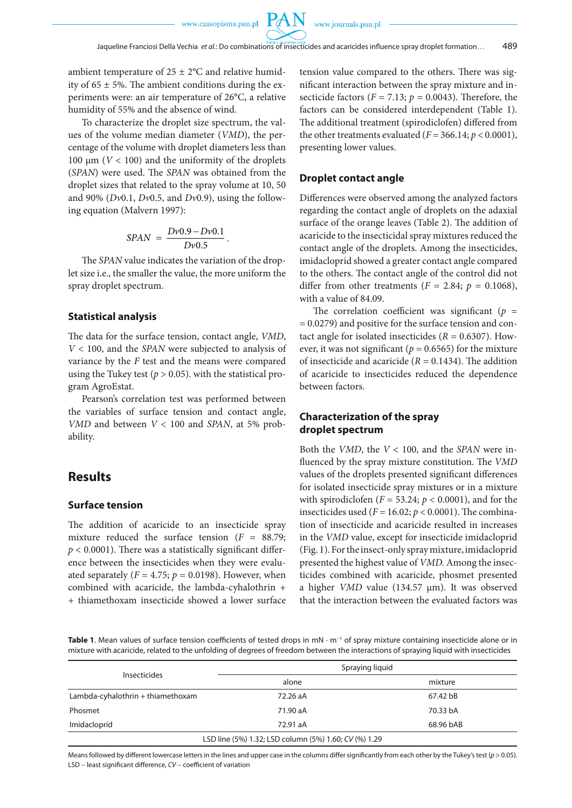ambient temperature of  $25 \pm 2$ °C and relative humidity of  $65 \pm 5\%$ . The ambient conditions during the experiments were: an air temperature of 26°C, a relative humidity of 55% and the absence of wind.

To characterize the droplet size spectrum, the values of the volume median diameter (*VMD*), the percentage of the volume with droplet diameters less than 100 μm ( $V$  < 100) and the uniformity of the droplets (*SPAN*) were used. The *SPAN* was obtained from the droplet sizes that related to the spray volume at 10, 50 and 90% (*Dv*0.1, *Dv*0.5, and *Dv*0.9), using the following equation (Malvern 1997):

$$
SPAN = \frac{Dv0.9 - Dv0.1}{Dv0.5}.
$$

The *SPAN* value indicates the variation of the droplet size i.e., the smaller the value, the more uniform the spray droplet spectrum.

## **Statistical analysis**

The data for the surface tension, contact angle, *VMD*, *V* < 100, and the *SPAN* were subjected to analysis of variance by the *F* test and the means were compared using the Tukey test ( $p > 0.05$ ). with the statistical program AgroEstat.

Pearson's correlation test was performed between the variables of surface tension and contact angle, *VMD* and between *V* < 100 and *SPAN*, at 5% probability.

## **Results**

### **Surface tension**

The addition of acaricide to an insecticide spray mixture reduced the surface tension  $(F = 88.79)$ ;  $p < 0.0001$ ). There was a statistically significant difference between the insecticides when they were evaluated separately ( $F = 4.75$ ;  $p = 0.0198$ ). However, when combined with acaricide, the lambda-cyhalothrin + + thiamethoxam insecticide showed a lower surface tension value compared to the others. There was significant interaction between the spray mixture and insecticide factors ( $F = 7.13$ ;  $p = 0.0043$ ). Therefore, the factors can be considered interdependent (Table 1). The additional treatment (spirodiclofen) differed from the other treatments evaluated ( $F = 366.14$ ;  $p < 0.0001$ ), presenting lower values.

## **Droplet contact angle**

Differences were observed among the analyzed factors regarding the contact angle of droplets on the adaxial surface of the orange leaves (Table 2). The addition of acaricide to the insecticidal spray mixtures reduced the contact angle of the droplets. Among the insecticides, imidacloprid showed a greater contact angle compared to the others. The contact angle of the control did not differ from other treatments ( $F = 2.84$ ;  $p = 0.1068$ ), with a value of 84.09.

The correlation coefficient was significant ( $p =$ = 0.0279) and positive for the surface tension and contact angle for isolated insecticides  $(R = 0.6307)$ . However, it was not significant ( $p = 0.6565$ ) for the mixture of insecticide and acaricide  $(R = 0.1434)$ . The addition of acaricide to insecticides reduced the dependence between factors.

## **Characterization of the spray droplet spectrum**

Both the *VMD*, the *V* < 100, and the *SPAN* were influenced by the spray mixture constitution. The *VMD* values of the droplets presented significant differences for isolated insecticide spray mixtures or in a mixture with spirodiclofen ( $F = 53.24$ ;  $p < 0.0001$ ), and for the insecticides used ( $F = 16.02$ ;  $p < 0.0001$ ). The combination of insecticide and acaricide resulted in increases in the *VMD* value, except for insecticide imidacloprid (Fig. 1). For the insect-only spray mixture, imidacloprid presented the highest value of *VMD.* Among the insecticides combined with acaricide, phosmet presented a higher *VMD* value (134.57 μm). It was observed that the interaction between the evaluated factors was

**Table 1**. Mean values of surface tension coefficients of tested drops in mN · m−1 of spray mixture containing insecticide alone or in mixture with acaricide, related to the unfolding of degrees of freedom between the interactions of spraying liquid with insecticides

| Insecticides                      | Spraying liquid                                       |           |
|-----------------------------------|-------------------------------------------------------|-----------|
|                                   | alone                                                 | mixture   |
| Lambda-cyhalothrin + thiamethoxam | 72.26 aA                                              | 67.42 bB  |
| Phosmet                           | 71.90 aA                                              | 70.33 bA  |
| Imidacloprid                      | 72.91 aA                                              | 68.96 bAB |
|                                   | LSD line (5%) 1.32; LSD column (5%) 1.60; CV (%) 1.29 |           |

Means followed by different lowercase letters in the lines and upper case in the columns differ significantly from each other by the Tukey's test (*p* > 0.05). LSD − least significant difference, *CV* − coefficient of variation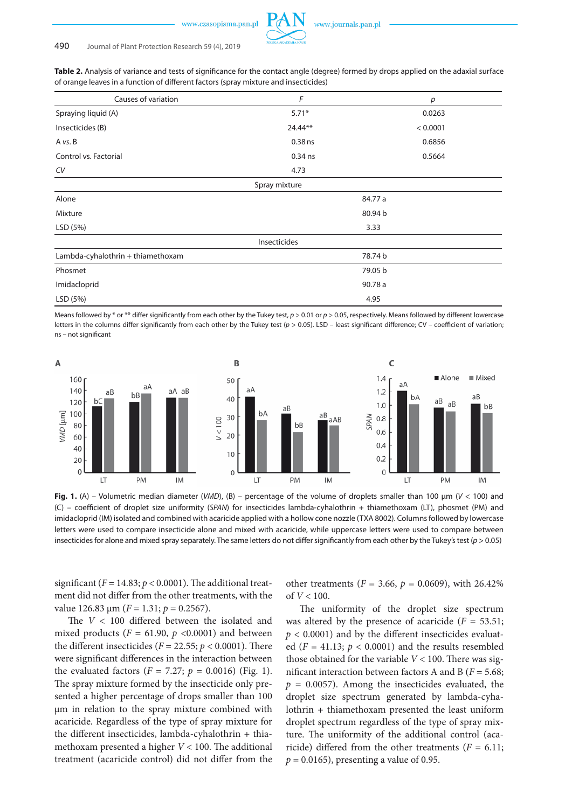



#### 490 Journal of Plant Protection Research 59 (4), 2019

**Table 2.** Analysis of variance and tests of significance for the contact angle (degree) formed by drops applied on the adaxial surface of orange leaves in a function of different factors (spray mixture and insecticides)

| Causes of variation               | $\sqrt{F}$    | $\boldsymbol{p}$ |  |
|-----------------------------------|---------------|------------------|--|
| Spraying liquid (A)               | $5.71*$       | 0.0263           |  |
| Insecticides (B)                  | $24.44**$     | < 0.0001         |  |
| A vs. B                           | $0.38$ ns     | 0.6856           |  |
| Control vs. Factorial             | 0.34 ns       | 0.5664           |  |
| CV                                | 4.73          |                  |  |
|                                   | Spray mixture |                  |  |
| Alone                             | 84.77 a       |                  |  |
| Mixture                           | 80.94 b       |                  |  |
| LSD (5%)                          | 3.33          |                  |  |
|                                   | Insecticides  |                  |  |
| Lambda-cyhalothrin + thiamethoxam |               | 78.74 b          |  |
| Phosmet                           | 79.05 b       |                  |  |
| Imidacloprid                      | 90.78 a       |                  |  |
| LSD (5%)                          | 4.95          |                  |  |

Means followed by \* or \*\* differ significantly from each other by the Tukey test, *p* > 0.01 or *p* > 0.05, respectively. Means followed by different lowercase letters in the columns differ significantly from each other by the Tukey test (*p* > 0.05). LSD – least significant difference; CV – coefficient of variation; ns – not significant



**Fig. 1.** (A) – Volumetric median diameter (*VMD*), (B) – percentage of the volume of droplets smaller than 100 μm (*V* < 100) and (C) – coefficient of droplet size uniformity (*SPAN*) for insecticides lambda-cyhalothrin + thiamethoxam (LT), phosmet (PM) and imidacloprid (IM) isolated and combined with acaricide applied with a hollow cone nozzle (TXA 8002). Columns followed by lowercase letters were used to compare insecticide alone and mixed with acaricide, while uppercase letters were used to compare between insecticides for alone and mixed spray separately. The same letters do not differ significantly from each other by the Tukey's test (*p* > 0.05)

significant  $(F = 14.83; p < 0.0001)$ . The additional treatment did not differ from the other treatments, with the value 126.83  $\mu$ m (*F* = 1.31; *p* = 0.2567).

The *V* < 100 differed between the isolated and mixed products ( $F = 61.90$ ,  $p < 0.0001$ ) and between the different insecticides ( $F = 22.55$ ;  $p < 0.0001$ ). There were significant differences in the interaction between the evaluated factors ( $F = 7.27$ ;  $p = 0.0016$ ) (Fig. 1). The spray mixture formed by the insecticide only presented a higher percentage of drops smaller than 100 μm in relation to the spray mixture combined with acaricide. Regardless of the type of spray mixture for the different insecticides, lambda-cyhalothrin + thiamethoxam presented a higher *V* < 100. The additional treatment (acaricide control) did not differ from the

other treatments ( $F = 3.66$ ,  $p = 0.0609$ ), with 26.42% of *V* < 100.

The uniformity of the droplet size spectrum was altered by the presence of acaricide  $(F = 53.51;$  $p < 0.0001$ ) and by the different insecticides evaluated  $(F = 41.13; p < 0.0001)$  and the results resembled those obtained for the variable  $V < 100$ . There was significant interaction between factors A and B (*F* = 5.68;  $p = 0.0057$ ). Among the insecticides evaluated, the droplet size spectrum generated by lambda-cyhalothrin + thiamethoxam presented the least uniform droplet spectrum regardless of the type of spray mixture. The uniformity of the additional control (acaricide) differed from the other treatments  $(F = 6.11;$  $p = 0.0165$ , presenting a value of 0.95.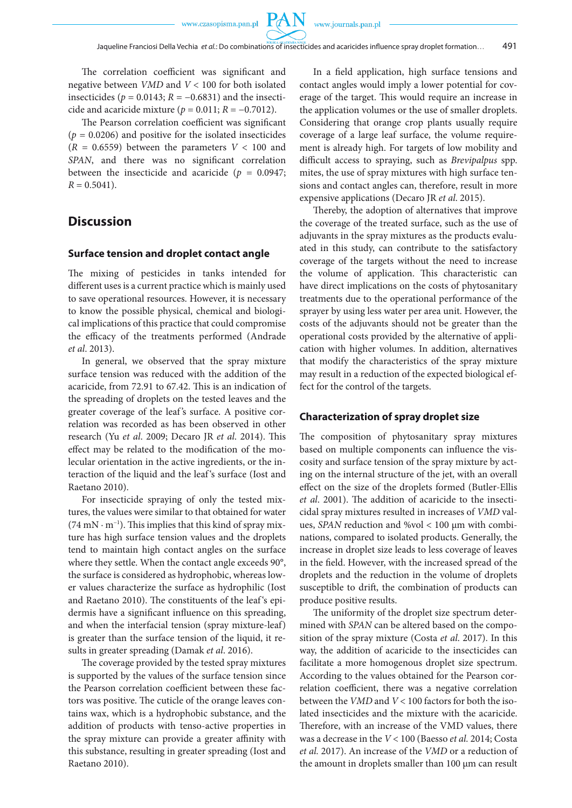**PAN** 

The correlation coefficient was significant and negative between *VMD* and *V* < 100 for both isolated insecticides ( $p = 0.0143$ ;  $R = -0.6831$ ) and the insecticide and acaricide mixture (*p* = 0.011; *R* = −0.7012).

The Pearson correlation coefficient was significant  $(p = 0.0206)$  and positive for the isolated insecticides  $(R = 0.6559)$  between the parameters  $V < 100$  and *SPAN*, and there was no significant correlation between the insecticide and acaricide ( $p = 0.0947$ ;  $R = 0.5041$ .

## **Discussion**

#### **Surface tension and droplet contact angle**

The mixing of pesticides in tanks intended for different uses is a current practice which is mainly used to save operational resources. However, it is necessary to know the possible physical, chemical and biological implications of this practice that could compromise the efficacy of the treatments performed (Andrade *et al*. 2013).

In general, we observed that the spray mixture surface tension was reduced with the addition of the acaricide, from 72.91 to 67.42. This is an indication of the spreading of droplets on the tested leaves and the greater coverage of the leaf 's surface. A positive correlation was recorded as has been observed in other research (Yu *et al*. 2009; Decaro JR *et al*. 2014). This effect may be related to the modification of the molecular orientation in the active ingredients, or the interaction of the liquid and the leaf 's surface (Iost and Raetano 2010).

For insecticide spraying of only the tested mixtures, the values were similar to that obtained for water  $(74 \text{ mN} \cdot \text{m}^{-1})$ . This implies that this kind of spray mixture has high surface tension values and the droplets tend to maintain high contact angles on the surface where they settle. When the contact angle exceeds 90°, the surface is considered as hydrophobic, whereas lower values characterize the surface as hydrophilic (Iost and Raetano 2010). The constituents of the leaf 's epidermis have a significant influence on this spreading, and when the interfacial tension (spray mixture-leaf) is greater than the surface tension of the liquid, it results in greater spreading (Damak *et al*. 2016).

The coverage provided by the tested spray mixtures is supported by the values of the surface tension since the Pearson correlation coefficient between these factors was positive. The cuticle of the orange leaves contains wax, which is a hydrophobic substance, and the addition of products with tenso-active properties in the spray mixture can provide a greater affinity with this substance, resulting in greater spreading (Iost and Raetano 2010).

In a field application, high surface tensions and contact angles would imply a lower potential for coverage of the target. This would require an increase in the application volumes or the use of smaller droplets. Considering that orange crop plants usually require coverage of a large leaf surface, the volume requirement is already high. For targets of low mobility and difficult access to spraying, such as *Brevipalpus* spp. mites, the use of spray mixtures with high surface tensions and contact angles can, therefore, result in more expensive applications (Decaro JR *et al*. 2015).

Thereby, the adoption of alternatives that improve the coverage of the treated surface, such as the use of adjuvants in the spray mixtures as the products evaluated in this study, can contribute to the satisfactory coverage of the targets without the need to increase the volume of application. This characteristic can have direct implications on the costs of phytosanitary treatments due to the operational performance of the sprayer by using less water per area unit. However, the costs of the adjuvants should not be greater than the operational costs provided by the alternative of application with higher volumes. In addition, alternatives that modify the characteristics of the spray mixture may result in a reduction of the expected biological effect for the control of the targets.

#### **Characterization of spray droplet size**

The composition of phytosanitary spray mixtures based on multiple components can influence the viscosity and surface tension of the spray mixture by acting on the internal structure of the jet, with an overall effect on the size of the droplets formed (Butler-Ellis *et al*. 2001). The addition of acaricide to the insecticidal spray mixtures resulted in increases of *VMD* values, *SPAN* reduction and %vol < 100 μm with combinations, compared to isolated products. Generally, the increase in droplet size leads to less coverage of leaves in the field. However, with the increased spread of the droplets and the reduction in the volume of droplets susceptible to drift, the combination of products can produce positive results.

The uniformity of the droplet size spectrum determined with *SPAN* can be altered based on the composition of the spray mixture (Costa *et al*. 2017). In this way, the addition of acaricide to the insecticides can facilitate a more homogenous droplet size spectrum. According to the values obtained for the Pearson correlation coefficient, there was a negative correlation between the *VMD* and *V* < 100 factors for both the isolated insecticides and the mixture with the acaricide. Therefore, with an increase of the VMD values, there was a decrease in the *V* < 100 (Baesso *et al.* 2014; Costa *et al.* 2017). An increase of the *VMD* or a reduction of the amount in droplets smaller than 100 µm can result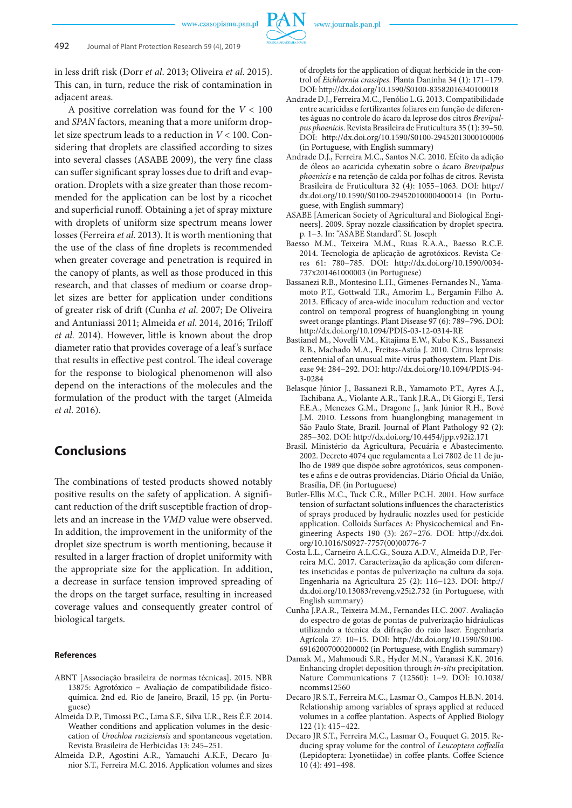www.czasopisma.pan.pl



in less drift risk (Dorr *et al*. 2013; Oliveira *et al*. 2015). This can, in turn, reduce the risk of contamination in adjacent areas.

A positive correlation was found for the *V* < 100 and *SPAN* factors, meaning that a more uniform droplet size spectrum leads to a reduction in *V* < 100. Considering that droplets are classified according to sizes into several classes (ASABE 2009), the very fine class can suffer significant spray losses due to drift and evaporation. Droplets with a size greater than those recommended for the application can be lost by a ricochet and superficial runoff. Obtaining a jet of spray mixture with droplets of uniform size spectrum means lower losses (Ferreira *et al*. 2013). It is worth mentioning that the use of the class of fine droplets is recommended when greater coverage and penetration is required in the canopy of plants, as well as those produced in this research, and that classes of medium or coarse droplet sizes are better for application under conditions of greater risk of drift (Cunha *et al*. 2007; De Oliveira and Antuniassi 2011; Almeida *et al*. 2014, 2016; Triloff *et al.* 2014). However, little is known about the drop diameter ratio that provides coverage of a leaf 's surface that results in effective pest control. The ideal coverage for the response to biological phenomenon will also depend on the interactions of the molecules and the formulation of the product with the target (Almeida *et al*. 2016).

# **Conclusions**

The combinations of tested products showed notably positive results on the safety of application. A significant reduction of the drift susceptible fraction of droplets and an increase in the *VMD* value were observed. In addition, the improvement in the uniformity of the droplet size spectrum is worth mentioning, because it resulted in a larger fraction of droplet uniformity with the appropriate size for the application. In addition, a decrease in surface tension improved spreading of the drops on the target surface, resulting in increased coverage values and consequently greater control of biological targets.

#### **References**

- ABNT [Associação brasileira de normas técnicas]. 2015. NBR 13875: Agrotóxico − Avaliação de compatibilidade físicoquímica. 2nd ed. Rio de Janeiro, Brazil, 15 pp. (in Portuguese)
- Almeida D.P., Timossi P.C., Lima S.F., Silva U.R., Reis É.F. 2014. Weather conditions and application volumes in the desiccation of *Urochloa ruziziensis* and spontaneous vegetation. Revista Brasileira de Herbicidas 13: 245–251.
- Almeida D.P., Agostini A.R., Yamauchi A.K.F., Decaro Junior S.T., Ferreira M.C. 2016. Application volumes and sizes

of droplets for the application of diquat herbicide in the control of *Eichhornia crassipes*. Planta Daninha 34 (1): 171−179. DOI: http://dx.doi.org/10.1590/S0100-83582016340100018

- Andrade D.J., Ferreira M.C., Fenólio L.G. 2013. Compatibilidade entre acaricidas e fertilizantes foliares em função de diferentes águas no controle do ácaro da leprose dos citros *Brevipalpus phoenicis*. Revista Brasileira de Fruticultura 35 (1): 39–50. DOI: http://dx.doi.org/10.1590/S0100-29452013000100006 (in Portuguese, with English summary)
- Andrade D.J., Ferreira M.C., Santos N.C. 2010. Efeito da adição de óleos ao acaricida cyhexatin sobre o ácaro *Brevipalpus phoenicis* e na retenção de calda por folhas de citros*.* Revista Brasileira de Fruticultura 32 (4): 1055−1063. DOI: http:// dx.doi.org/10.1590/S0100-29452010000400014 (in Portuguese, with English summary)
- ASABE [American Society of Agricultural and Biological Engineers]. 2009. Spray nozzle classification by droplet spectra. p. 1−3. In: "ASABE Standard". St. Joseph
- Baesso M.M., Teixeira M.M., Ruas R.A.A., Baesso R.C.E. 2014. Tecnologia de aplicação de agrotóxicos. Revista Ceres 61: 780−785. DOI: http://dx.doi.org/10.1590/0034- 737x201461000003 (in Portuguese)
- Bassanezi R.B., Montesino L.H., Gimenes-Fernandes N., Yamamoto P.T., Gottwald T.R., Amorim L., Bergamin Filho A. 2013. Efficacy of area-wide inoculum reduction and vector control on temporal progress of huanglongbing in young sweet orange plantings. Plant Disease 97 (6): 789−796. DOI: http://dx.doi.org/10.1094/PDIS-03-12-0314-RE
- Bastianel M., Novelli V.M., Kitajima E.W., Kubo K.S., Bassanezi R.B., Machado M.A., Freitas-Astúa J. 2010. Citrus leprosis: centennial of an unusual mite-virus pathosystem. Plant Disease 94: 284−292. DOI: http://dx.doi.org/10.1094/PDIS-94- 3-0284
- Belasque Júnior J., Bassanezi R.B., Yamamoto P.T., Ayres A.J., Tachibana A., Violante A.R., Tank J.R.A., Di Giorgi F., Tersi F.E.A., Menezes G.M., Dragone J., Jank Júnior R.H., Bové J.M. 2010. Lessons from huanglongbing management in São Paulo State, Brazil. Journal of Plant Pathology 92 (2): 285−302. DOI: http://dx.doi.org/10.4454/jpp.v92i2.171
- Brasil. Ministério da Agricultura, Pecuária e Abastecimento. 2002. Decreto 4074 que regulamenta a Lei 7802 de 11 de julho de 1989 que dispõe sobre agrotóxicos, seus componentes e afins e de outras providencias. Diário Oficial da União, Brasília, DF. (in Portuguese)
- Butler-Ellis M.C., Tuck C.R., Miller P.C.H. 2001. How surface tension of surfactant solutions influences the characteristics of sprays produced by hydraulic nozzles used for pesticide application. Colloids Surfaces A: Physicochemical and Engineering Aspects 190 (3): 267−276. DOI: http://dx.doi. org/10.1016/S0927-7757(00)00776-7
- Costa L.L., Carneiro A.L.C.G., Souza A.D.V., Almeida D.P., Ferreira M.C. 2017. Caracterização da aplicação com diferentes inseticidas e pontas de pulverização na cultura da soja. Engenharia na Agricultura 25 (2): 116−123. DOI: http:// dx.doi.org/10.13083/reveng.v25i2.732 (in Portuguese, with English summary)
- Cunha J.P.A.R., Teixeira M.M., Fernandes H.C. 2007. Avaliação do espectro de gotas de pontas de pulverização hidráulicas utilizando a técnica da difração do raio laser. Engenharia Agrícola 27: 10−15. DOI: http://dx.doi.org/10.1590/S0100- 69162007000200002 (in Portuguese, with English summary)
- Damak M., Mahmoudi S.R., Hyder M.N., Varanasi K.K. 2016. Enhancing droplet deposition through *in-situ* precipitation. Nature Communications 7 (12560): 1−9. DOI: 10.1038/ ncomms12560
- Decaro JR S.T., Ferreira M.C., Lasmar O., Campos H.B.N. 2014. Relationship among variables of sprays applied at reduced volumes in a coffee plantation. Aspects of Applied Biology 122 (1): 415−422.
- Decaro JR S.T., Ferreira M.C., Lasmar O., Fouquet G. 2015. Reducing spray volume for the control of *Leucoptera coffeella* (Lepidoptera: Lyonetiidae) in coffee plants. Coffee Science 10 (4): 491–498.